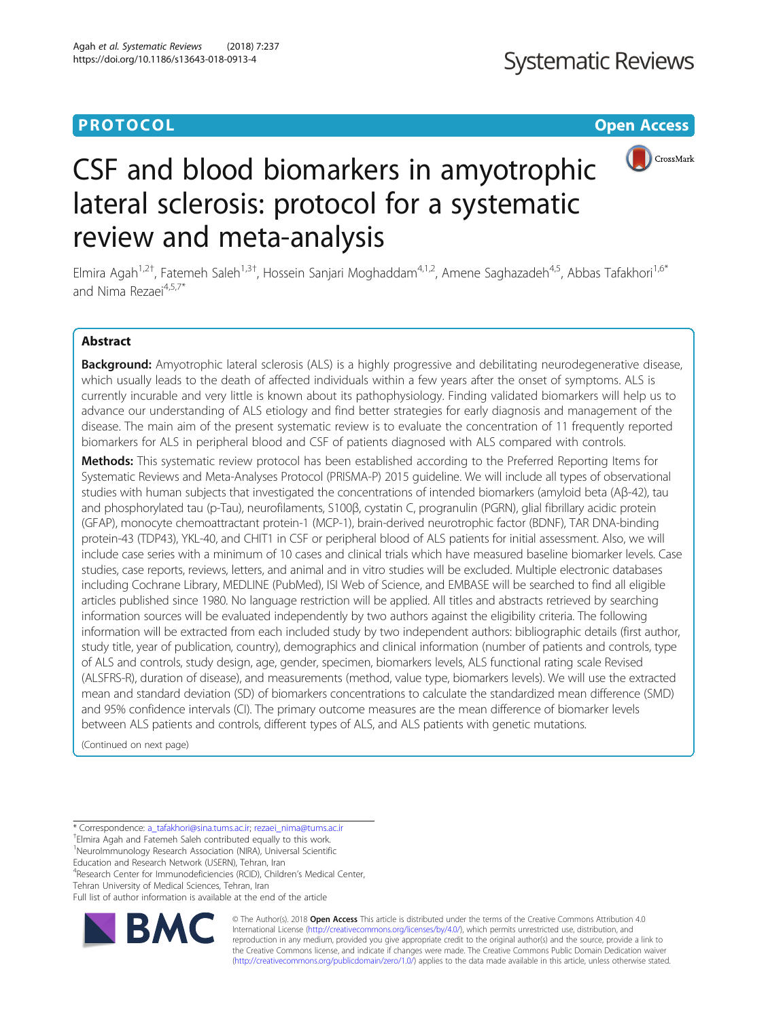## **PROTOCOL CONSUMING THE OPEN ACCESS**



# CSF and blood biomarkers in amyotrophic lateral sclerosis: protocol for a systematic review and meta-analysis

Elmira Agah<sup>1,2†</sup>, Fatemeh Saleh<sup>1,3†</sup>, Hossein Sanjari Moghaddam<sup>4,1,2</sup>, Amene Saghazadeh<sup>4,5</sup>, Abbas Tafakhori<sup>1,6\*</sup> and Nima Rezaei<sup>4,5,7\*</sup>

## Abstract

Background: Amyotrophic lateral sclerosis (ALS) is a highly progressive and debilitating neurodegenerative disease, which usually leads to the death of affected individuals within a few years after the onset of symptoms. ALS is currently incurable and very little is known about its pathophysiology. Finding validated biomarkers will help us to advance our understanding of ALS etiology and find better strategies for early diagnosis and management of the disease. The main aim of the present systematic review is to evaluate the concentration of 11 frequently reported biomarkers for ALS in peripheral blood and CSF of patients diagnosed with ALS compared with controls.

Methods: This systematic review protocol has been established according to the Preferred Reporting Items for Systematic Reviews and Meta-Analyses Protocol (PRISMA-P) 2015 guideline. We will include all types of observational studies with human subjects that investigated the concentrations of intended biomarkers (amyloid beta (Aβ-42), tau and phosphorylated tau (p-Tau), neurofilaments, S100β, cystatin C, progranulin (PGRN), glial fibrillary acidic protein (GFAP), monocyte chemoattractant protein-1 (MCP-1), brain-derived neurotrophic factor (BDNF), TAR DNA-binding protein-43 (TDP43), YKL-40, and CHIT1 in CSF or peripheral blood of ALS patients for initial assessment. Also, we will include case series with a minimum of 10 cases and clinical trials which have measured baseline biomarker levels. Case studies, case reports, reviews, letters, and animal and in vitro studies will be excluded. Multiple electronic databases including Cochrane Library, MEDLINE (PubMed), ISI Web of Science, and EMBASE will be searched to find all eligible articles published since 1980. No language restriction will be applied. All titles and abstracts retrieved by searching information sources will be evaluated independently by two authors against the eligibility criteria. The following information will be extracted from each included study by two independent authors: bibliographic details (first author, study title, year of publication, country), demographics and clinical information (number of patients and controls, type of ALS and controls, study design, age, gender, specimen, biomarkers levels, ALS functional rating scale Revised (ALSFRS-R), duration of disease), and measurements (method, value type, biomarkers levels). We will use the extracted mean and standard deviation (SD) of biomarkers concentrations to calculate the standardized mean difference (SMD) and 95% confidence intervals (CI). The primary outcome measures are the mean difference of biomarker levels between ALS patients and controls, different types of ALS, and ALS patients with genetic mutations.

(Continued on next page)

\* Correspondence: [a\\_tafakhori@sina.tums.ac.ir;](mailto:a_tafakhori@sina.tums.ac.ir) [rezaei\\_nima@tums.ac.ir](mailto:rezaei_nima@tums.ac.ir) †

Elmira Agah and Fatemeh Saleh contributed equally to this work. <sup>1</sup>NeuroImmunology Research Association (NIRA), Universal Scientific

Education and Research Network (USERN), Tehran, Iran

<sup>4</sup>Research Center for Immunodeficiencies (RCID), Children's Medical Center, Tehran University of Medical Sciences, Tehran, Iran

Full list of author information is available at the end of the article



© The Author(s). 2018 Open Access This article is distributed under the terms of the Creative Commons Attribution 4.0 International License [\(http://creativecommons.org/licenses/by/4.0/](http://creativecommons.org/licenses/by/4.0/)), which permits unrestricted use, distribution, and reproduction in any medium, provided you give appropriate credit to the original author(s) and the source, provide a link to the Creative Commons license, and indicate if changes were made. The Creative Commons Public Domain Dedication waiver [\(http://creativecommons.org/publicdomain/zero/1.0/](http://creativecommons.org/publicdomain/zero/1.0/)) applies to the data made available in this article, unless otherwise stated.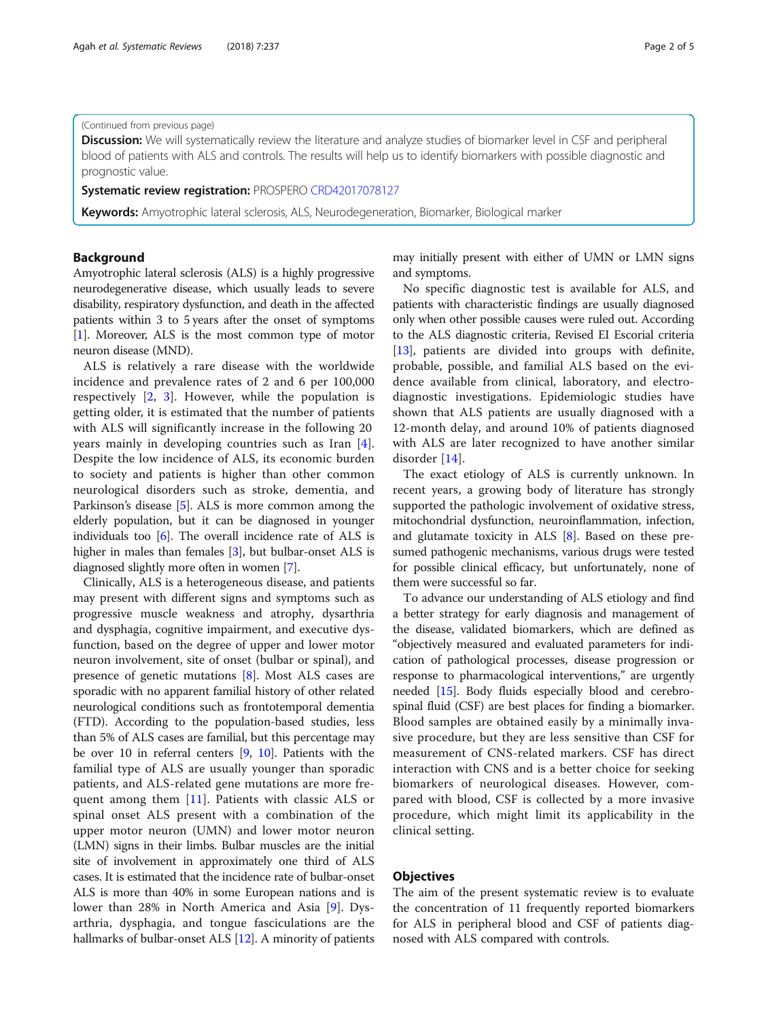#### (Continued from previous page)

Discussion: We will systematically review the literature and analyze studies of biomarker level in CSF and peripheral blood of patients with ALS and controls. The results will help us to identify biomarkers with possible diagnostic and prognostic value.

Systematic review registration: PROSPERO [CRD42017078127](http://www.crd.york.ac.uk/PROSPERO/display_record.php?ID=CRD42017078127)

Keywords: Amyotrophic lateral sclerosis, ALS, Neurodegeneration, Biomarker, Biological marker

## Background

Amyotrophic lateral sclerosis (ALS) is a highly progressive neurodegenerative disease, which usually leads to severe disability, respiratory dysfunction, and death in the affected patients within 3 to 5 years after the onset of symptoms [[1\]](#page-4-0). Moreover, ALS is the most common type of motor neuron disease (MND).

ALS is relatively a rare disease with the worldwide incidence and prevalence rates of 2 and 6 per 100,000 respectively [\[2](#page-4-0), [3\]](#page-4-0). However, while the population is getting older, it is estimated that the number of patients with ALS will significantly increase in the following 20 years mainly in developing countries such as Iran [\[4](#page-4-0)]. Despite the low incidence of ALS, its economic burden to society and patients is higher than other common neurological disorders such as stroke, dementia, and Parkinson's disease [[5](#page-4-0)]. ALS is more common among the elderly population, but it can be diagnosed in younger individuals too [\[6](#page-4-0)]. The overall incidence rate of ALS is higher in males than females [\[3](#page-4-0)], but bulbar-onset ALS is diagnosed slightly more often in women [[7\]](#page-4-0).

Clinically, ALS is a heterogeneous disease, and patients may present with different signs and symptoms such as progressive muscle weakness and atrophy, dysarthria and dysphagia, cognitive impairment, and executive dysfunction, based on the degree of upper and lower motor neuron involvement, site of onset (bulbar or spinal), and presence of genetic mutations [[8\]](#page-4-0). Most ALS cases are sporadic with no apparent familial history of other related neurological conditions such as frontotemporal dementia (FTD). According to the population-based studies, less than 5% of ALS cases are familial, but this percentage may be over 10 in referral centers [[9](#page-4-0), [10\]](#page-4-0). Patients with the familial type of ALS are usually younger than sporadic patients, and ALS-related gene mutations are more frequent among them [\[11](#page-4-0)]. Patients with classic ALS or spinal onset ALS present with a combination of the upper motor neuron (UMN) and lower motor neuron (LMN) signs in their limbs. Bulbar muscles are the initial site of involvement in approximately one third of ALS cases. It is estimated that the incidence rate of bulbar-onset ALS is more than 40% in some European nations and is lower than 28% in North America and Asia [\[9](#page-4-0)]. Dysarthria, dysphagia, and tongue fasciculations are the hallmarks of bulbar-onset ALS [[12\]](#page-4-0). A minority of patients may initially present with either of UMN or LMN signs and symptoms.

No specific diagnostic test is available for ALS, and patients with characteristic findings are usually diagnosed only when other possible causes were ruled out. According to the ALS diagnostic criteria, Revised EI Escorial criteria [[13](#page-4-0)], patients are divided into groups with definite, probable, possible, and familial ALS based on the evidence available from clinical, laboratory, and electrodiagnostic investigations. Epidemiologic studies have shown that ALS patients are usually diagnosed with a 12-month delay, and around 10% of patients diagnosed with ALS are later recognized to have another similar disorder [\[14](#page-4-0)].

The exact etiology of ALS is currently unknown. In recent years, a growing body of literature has strongly supported the pathologic involvement of oxidative stress, mitochondrial dysfunction, neuroinflammation, infection, and glutamate toxicity in ALS [\[8](#page-4-0)]. Based on these presumed pathogenic mechanisms, various drugs were tested for possible clinical efficacy, but unfortunately, none of them were successful so far.

To advance our understanding of ALS etiology and find a better strategy for early diagnosis and management of the disease, validated biomarkers, which are defined as "objectively measured and evaluated parameters for indication of pathological processes, disease progression or response to pharmacological interventions," are urgently needed [[15](#page-4-0)]. Body fluids especially blood and cerebrospinal fluid (CSF) are best places for finding a biomarker. Blood samples are obtained easily by a minimally invasive procedure, but they are less sensitive than CSF for measurement of CNS-related markers. CSF has direct interaction with CNS and is a better choice for seeking biomarkers of neurological diseases. However, compared with blood, CSF is collected by a more invasive procedure, which might limit its applicability in the clinical setting.

## **Objectives**

The aim of the present systematic review is to evaluate the concentration of 11 frequently reported biomarkers for ALS in peripheral blood and CSF of patients diagnosed with ALS compared with controls.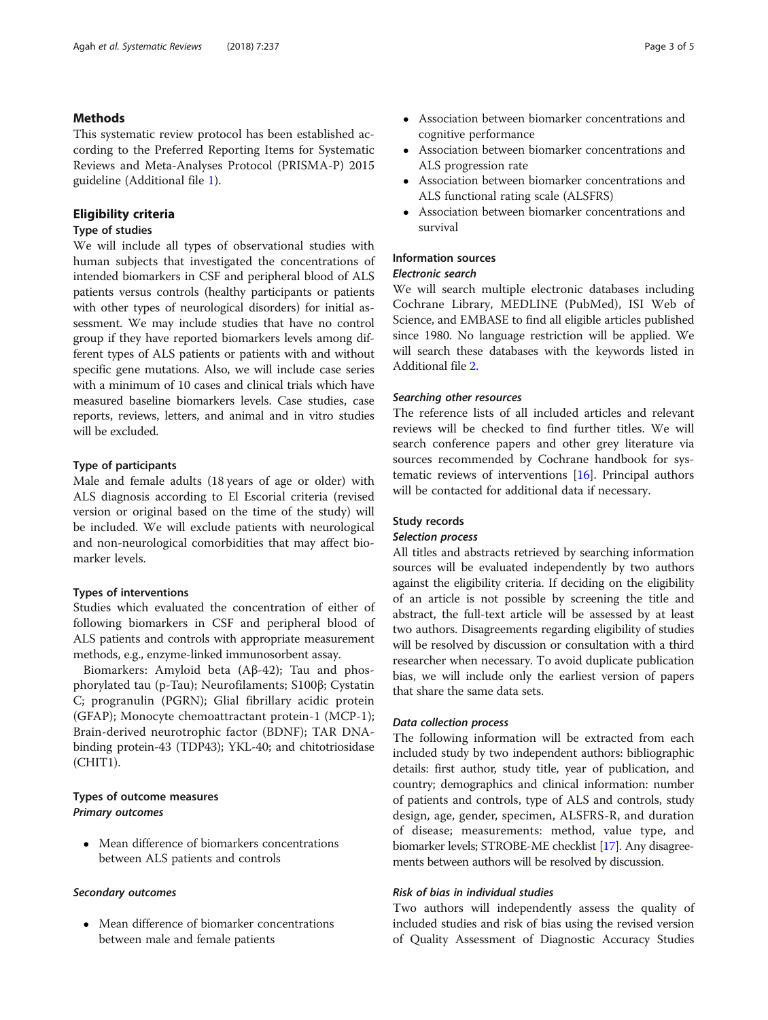## Methods

This systematic review protocol has been established according to the Preferred Reporting Items for Systematic Reviews and Meta-Analyses Protocol (PRISMA-P) 2015 guideline (Additional file [1](#page-3-0)).

## Eligibility criteria

## Type of studies

We will include all types of observational studies with human subjects that investigated the concentrations of intended biomarkers in CSF and peripheral blood of ALS patients versus controls (healthy participants or patients with other types of neurological disorders) for initial assessment. We may include studies that have no control group if they have reported biomarkers levels among different types of ALS patients or patients with and without specific gene mutations. Also, we will include case series with a minimum of 10 cases and clinical trials which have measured baseline biomarkers levels. Case studies, case reports, reviews, letters, and animal and in vitro studies will be excluded.

## Type of participants

Male and female adults (18 years of age or older) with ALS diagnosis according to El Escorial criteria (revised version or original based on the time of the study) will be included. We will exclude patients with neurological and non-neurological comorbidities that may affect biomarker levels.

## Types of interventions

Studies which evaluated the concentration of either of following biomarkers in CSF and peripheral blood of ALS patients and controls with appropriate measurement methods, e.g., enzyme-linked immunosorbent assay.

Biomarkers: Amyloid beta (Aβ-42); Tau and phosphorylated tau (p-Tau); Neurofilaments; S100β; Cystatin C; progranulin (PGRN); Glial fibrillary acidic protein (GFAP); Monocyte chemoattractant protein-1 (MCP-1); Brain-derived neurotrophic factor (BDNF); TAR DNAbinding protein-43 (TDP43); YKL-40; and chitotriosidase (CHIT1).

## Types of outcome measures Primary outcomes

 Mean difference of biomarkers concentrations between ALS patients and controls

#### Secondary outcomes

 Mean difference of biomarker concentrations between male and female patients

- Association between biomarker concentrations and cognitive performance
- Association between biomarker concentrations and ALS progression rate
- Association between biomarker concentrations and ALS functional rating scale (ALSFRS)
- Association between biomarker concentrations and survival

## Information sources

## Electronic search

We will search multiple electronic databases including Cochrane Library, MEDLINE (PubMed), ISI Web of Science, and EMBASE to find all eligible articles published since 1980. No language restriction will be applied. We will search these databases with the keywords listed in Additional file [2](#page-3-0).

#### Searching other resources

The reference lists of all included articles and relevant reviews will be checked to find further titles. We will search conference papers and other grey literature via sources recommended by Cochrane handbook for systematic reviews of interventions [[16\]](#page-4-0). Principal authors will be contacted for additional data if necessary.

## Study records

## Selection process

All titles and abstracts retrieved by searching information sources will be evaluated independently by two authors against the eligibility criteria. If deciding on the eligibility of an article is not possible by screening the title and abstract, the full-text article will be assessed by at least two authors. Disagreements regarding eligibility of studies will be resolved by discussion or consultation with a third researcher when necessary. To avoid duplicate publication bias, we will include only the earliest version of papers that share the same data sets.

## Data collection process

The following information will be extracted from each included study by two independent authors: bibliographic details: first author, study title, year of publication, and country; demographics and clinical information: number of patients and controls, type of ALS and controls, study design, age, gender, specimen, ALSFRS-R, and duration of disease; measurements: method, value type, and biomarker levels; STROBE-ME checklist [\[17](#page-4-0)]. Any disagreements between authors will be resolved by discussion.

#### Risk of bias in individual studies

Two authors will independently assess the quality of included studies and risk of bias using the revised version of Quality Assessment of Diagnostic Accuracy Studies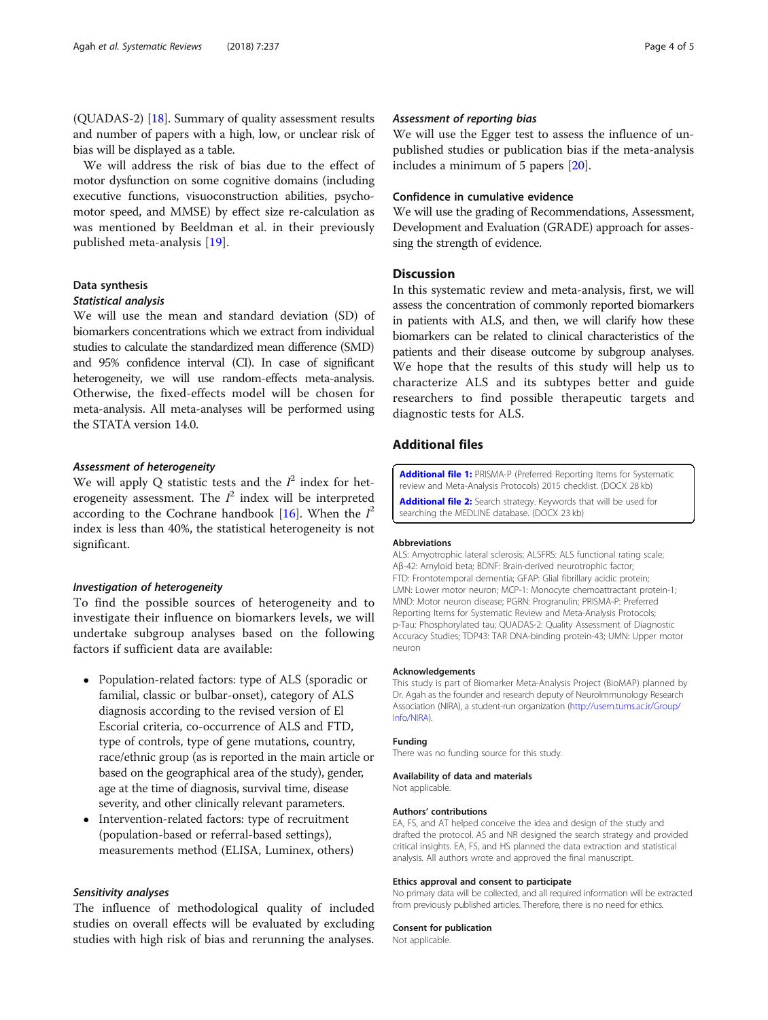<span id="page-3-0"></span>(QUADAS-2) [\[18](#page-4-0)]. Summary of quality assessment results and number of papers with a high, low, or unclear risk of bias will be displayed as a table.

We will address the risk of bias due to the effect of motor dysfunction on some cognitive domains (including executive functions, visuoconstruction abilities, psychomotor speed, and MMSE) by effect size re-calculation as was mentioned by Beeldman et al. in their previously published meta-analysis [\[19](#page-4-0)].

#### Data synthesis

## Statistical analysis

We will use the mean and standard deviation (SD) of biomarkers concentrations which we extract from individual studies to calculate the standardized mean difference (SMD) and 95% confidence interval (CI). In case of significant heterogeneity, we will use random-effects meta-analysis. Otherwise, the fixed-effects model will be chosen for meta-analysis. All meta-analyses will be performed using the STATA version 14.0.

## Assessment of heterogeneity

We will apply Q statistic tests and the  $I^2$  index for heterogeneity assessment. The  $I^2$  index will be interpreted according to the Cochrane handbook [\[16](#page-4-0)]. When the  $I^2$ index is less than 40%, the statistical heterogeneity is not significant.

#### Investigation of heterogeneity

To find the possible sources of heterogeneity and to investigate their influence on biomarkers levels, we will undertake subgroup analyses based on the following factors if sufficient data are available:

- Population-related factors: type of ALS (sporadic or familial, classic or bulbar-onset), category of ALS diagnosis according to the revised version of El Escorial criteria, co-occurrence of ALS and FTD, type of controls, type of gene mutations, country, race/ethnic group (as is reported in the main article or based on the geographical area of the study), gender, age at the time of diagnosis, survival time, disease severity, and other clinically relevant parameters.
- Intervention-related factors: type of recruitment (population-based or referral-based settings), measurements method (ELISA, Luminex, others)

#### Sensitivity analyses

The influence of methodological quality of included studies on overall effects will be evaluated by excluding studies with high risk of bias and rerunning the analyses.

## Assessment of reporting bias

We will use the Egger test to assess the influence of unpublished studies or publication bias if the meta-analysis includes a minimum of 5 papers [[20](#page-4-0)].

## Confidence in cumulative evidence

We will use the grading of Recommendations, Assessment, Development and Evaluation (GRADE) approach for assessing the strength of evidence.

## **Discussion**

In this systematic review and meta-analysis, first, we will assess the concentration of commonly reported biomarkers in patients with ALS, and then, we will clarify how these biomarkers can be related to clinical characteristics of the patients and their disease outcome by subgroup analyses. We hope that the results of this study will help us to characterize ALS and its subtypes better and guide researchers to find possible therapeutic targets and diagnostic tests for ALS.

## Additional files

[Additional file 1:](https://doi.org/10.1186/s13643-018-0913-4) PRISMA-P (Preferred Reporting Items for Systematic review and Meta-Analysis Protocols) 2015 checklist. (DOCX 28 kb) [Additional file 2:](https://doi.org/10.1186/s13643-018-0913-4) Search strategy. Keywords that will be used for searching the MEDLINE database. (DOCX 23 kb)

#### Abbreviations

ALS: Amyotrophic lateral sclerosis; ALSFRS: ALS functional rating scale; Aβ-42: Amyloid beta; BDNF: Brain-derived neurotrophic factor; FTD: Frontotemporal dementia; GFAP: Glial fibrillary acidic protein; LMN: Lower motor neuron; MCP-1: Monocyte chemoattractant protein-1; MND: Motor neuron disease; PGRN: Progranulin; PRISMA-P: Preferred Reporting Items for Systematic Review and Meta-Analysis Protocols; p-Tau: Phosphorylated tau; QUADAS-2: Quality Assessment of Diagnostic Accuracy Studies; TDP43: TAR DNA-binding protein-43; UMN: Upper motor neuron

#### Acknowledgements

This study is part of Biomarker Meta-Analysis Project (BioMAP) planned by Dr. Agah as the founder and research deputy of NeuroImmunology Research Association (NIRA), a student-run organization [\(http://usern.tums.ac.ir/Group/](http://usern.tums.ac.ir/Group/Info/NIRA) [Info/NIRA](http://usern.tums.ac.ir/Group/Info/NIRA)).

#### Funding

There was no funding source for this study.

#### Availability of data and materials

Not applicable.

#### Authors' contributions

EA, FS, and AT helped conceive the idea and design of the study and drafted the protocol. AS and NR designed the search strategy and provided critical insights. EA, FS, and HS planned the data extraction and statistical analysis. All authors wrote and approved the final manuscript.

#### Ethics approval and consent to participate

No primary data will be collected, and all required information will be extracted from previously published articles. Therefore, there is no need for ethics.

#### Consent for publication

Not applicable.